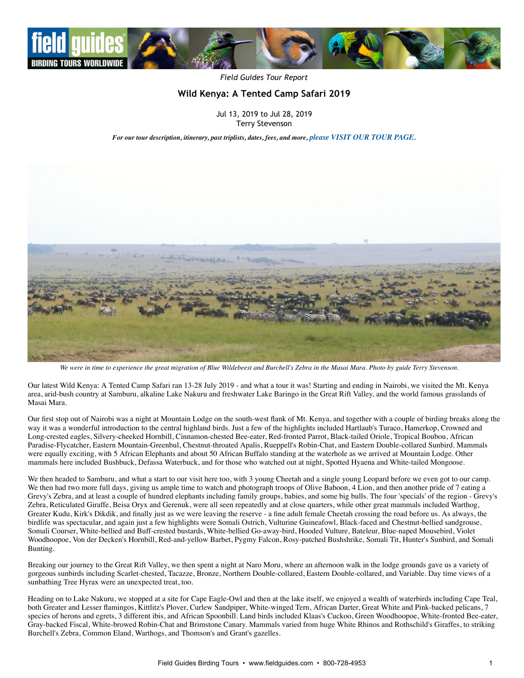

*Field Guides Tour Report*

# **Wild Kenya: A Tented Camp Safari 2019**

Jul 13, 2019 to Jul 28, 2019 Terry Stevenson

*For our tour description, itinerary, past triplists, dates, fees, and more, [please VISIT OUR TOUR PAGE](https://fieldguides.com/bird-tours/kenya-tented-camps).*



*We were in time to experience the great migration of Blue Wildebeest and Burchell's Zebra in the Masai Mara. Photo by guide Terry Stevenson.*

Our latest Wild Kenya: A Tented Camp Safari ran 13-28 July 2019 - and what a tour it was! Starting and ending in Nairobi, we visited the Mt. Kenya area, arid-bush country at Samburu, alkaline Lake Nakuru and freshwater Lake Baringo in the Great Rift Valley, and the world famous grasslands of Masai Mara.

Our first stop out of Nairobi was a night at Mountain Lodge on the south-west flank of Mt. Kenya, and together with a couple of birding breaks along the way it was a wonderful introduction to the central highland birds. Just a few of the highlights included Hartlaub's Turaco, Hamerkop, Crowned and Long-crested eagles, Silvery-cheeked Hornbill, Cinnamon-chested Bee-eater, Red-fronted Parrot, Black-tailed Oriole, Tropical Boubou, African Paradise-Flycatcher, Eastern Mountain-Greenbul, Chestnut-throated Apalis, Rueppell's Robin-Chat, and Eastern Double-collared Sunbird. Mammals were equally exciting, with 5 African Elephants and about 50 African Buffalo standing at the waterhole as we arrived at Mountain Lodge. Other mammals here included Bushbuck, Defassa Waterbuck, and for those who watched out at night, Spotted Hyaena and White-tailed Mongoose.

We then headed to Samburu, and what a start to our visit here too, with 3 young Cheetah and a single young Leopard before we even got to our camp. We then had two more full days, giving us ample time to watch and photograph troops of Olive Baboon, 4 Lion, and then another pride of 7 eating a Grevy's Zebra, and at least a couple of hundred elephants including family groups, babies, and some big bulls. The four 'specials' of the region - Grevy's Zebra, Reticulated Giraffe, Beisa Oryx and Gerenuk, were all seen repeatedly and at close quarters, while other great mammals included Warthog, Greater Kudu, Kirk's Dikdik, and finally just as we were leaving the reserve - a fine adult female Cheetah crossing the road before us. As always, the birdlife was spectacular, and again just a few highlights were Somali Ostrich, Vulturine Guineafowl, Black-faced and Chestnut-bellied sandgrouse, Somali Courser, White-bellied and Buff-crested bustards, White-bellied Go-away-bird, Hooded Vulture, Bateleur, Blue-naped Mousebird, Violet Woodhoopoe, Von der Decken's Hornbill, Red-and-yellow Barbet, Pygmy Falcon, Rosy-patched Bushshrike, Somali Tit, Hunter's Sunbird, and Somali Bunting.

Breaking our journey to the Great Rift Valley, we then spent a night at Naro Moru, where an afternoon walk in the lodge grounds gave us a variety of gorgeous sunbirds including Scarlet-chested, Tacazze, Bronze, Northern Double-collared, Eastern Double-collared, and Variable. Day time views of a sunbathing Tree Hyrax were an unexpected treat, too.

Heading on to Lake Nakuru, we stopped at a site for Cape Eagle-Owl and then at the lake itself, we enjoyed a wealth of waterbirds including Cape Teal, both Greater and Lesser flamingos, Kittlitz's Plover, Curlew Sandpiper, White-winged Tern, African Darter, Great White and Pink-backed pelicans, 7 species of herons and egrets, 3 different ibis, and African Spoonbill. Land birds included Klaas's Cuckoo, Green Woodhoopoe, White-fronted Bee-eater, Gray-backed Fiscal, White-browed Robin-Chat and Brimstone Canary. Mammals varied from huge White Rhinos and Rothschild's Giraffes, to striking Burchell's Zebra, Common Eland, Warthogs, and Thomson's and Grant's gazelles.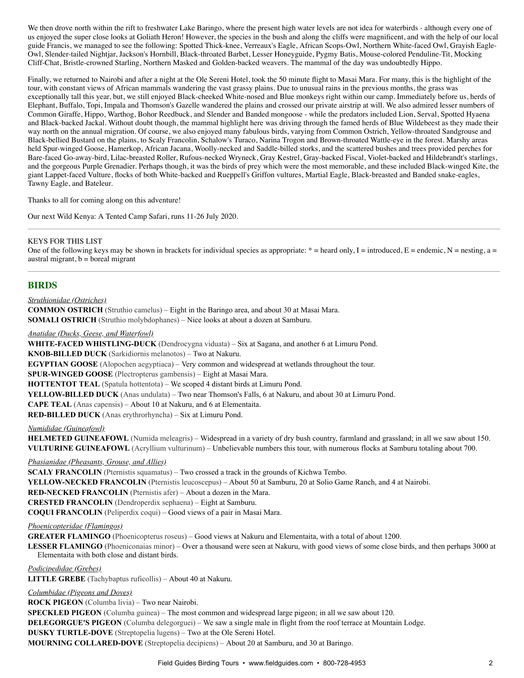We then drove north within the rift to freshwater Lake Baringo, where the present high water levels are not idea for waterbirds - although every one of us enjoyed the super close looks at Goliath Heron! However, the species in the bush and along the cliffs were magnificent, and with the help of our local guide Francis, we managed to see the following: Spotted Thick-knee, Verreaux's Eagle, African Scops-Owl, Northern White-faced Owl, Grayish Eagle-Owl, Slender-tailed Nightjar, Jackson's Hornbill, Black-throated Barbet, Lesser Honeyguide, Pygmy Batis, Mouse-colored Penduline-Tit, Mocking Cliff-Chat, Bristle-crowned Starling, Northern Masked and Golden-backed weavers. The mammal of the day was undoubtedly Hippo.

Finally, we returned to Nairobi and after a night at the Ole Sereni Hotel, took the 50 minute flight to Masai Mara. For many, this is the highlight of the tour, with constant views of African mammals wandering the vast grassy plains. Due to unusual rains in the previous months, the grass was exceptionally tall this year, but, we still enjoyed Black-cheeked White-nosed and Blue monkeys right within our camp. Immediately before us, herds of Elephant, Buffalo, Topi, Impala and Thomson's Gazelle wandered the plains and crossed our private airstrip at will. We also admired lesser numbers of Common Giraffe, Hippo, Warthog, Bohor Reedbuck, and Slender and Banded mongoose - while the predators included Lion, Serval, Spotted Hyaena and Black-backed Jackal. Without doubt though, the mammal highlight here was driving through the famed herds of Blue Wildebeest as they made their way north on the annual migration. Of course, we also enjoyed many fabulous birds, varying from Common Ostrich, Yellow-throated Sandgrouse and Black-bellied Bustard on the plains, to Scaly Francolin, Schalow's Turaco, Narina Trogon and Brown-throated Wattle-eye in the forest. Marshy areas held Spur-winged Goose, Hamerkop, African Jacana, Woolly-necked and Saddle-billed storks, and the scattered bushes and trees provided perches for Bare-faced Go-away-bird, Lilac-breasted Roller, Rufous-necked Wryneck, Gray Kestrel, Gray-backed Fiscal, Violet-backed and Hildebrandt's starlings, and the gorgeous Purple Grenadier. Perhaps though, it was the birds of prey which were the most memorable, and these included Black-winged Kite, the giant Lappet-faced Vulture, flocks of both White-backed and Rueppell's Griffon vultures, Martial Eagle, Black-breasted and Banded snake-eagles, Tawny Eagle, and Bateleur.

Thanks to all for coming along on this adventure!

Our next Wild Kenya: A Tented Camp Safari, runs 11-26 July 2020.

### KEYS FOR THIS LIST

One of the following keys may be shown in brackets for individual species as appropriate:  $* =$  heard only, I = introduced, E = endemic, N = nesting, a = austral migrant,  $b = b$ oreal migrant

## **BIRDS**

#### *Struthionidae (Ostriches)*

**COMMON OSTRICH** (Struthio camelus) – Eight in the Baringo area, and about 30 at Masai Mara. **SOMALI OSTRICH** (Struthio molybdophanes) – Nice looks at about a dozen at Samburu.

#### *Anatidae (Ducks, Geese, and Waterfowl)*

**WHITE-FACED WHISTLING-DUCK** (Dendrocygna viduata) – Six at Sagana, and another 6 at Limuru Pond.

**KNOB-BILLED DUCK** (Sarkidiornis melanotos) – Two at Nakuru.

**EGYPTIAN GOOSE** (Alopochen aegyptiaca) – Very common and widespread at wetlands throughout the tour.

**SPUR-WINGED GOOSE** (Plectropterus gambensis) – Eight at Masai Mara.

**HOTTENTOT TEAL** (Spatula hottentota) – We scoped 4 distant birds at Limuru Pond.

**YELLOW-BILLED DUCK** (Anas undulata) – Two near Thomson's Falls, 6 at Nakuru, and about 30 at Limuru Pond.

**CAPE TEAL** (Anas capensis) – About 10 at Nakuru, and 6 at Elementaita.

**RED-BILLED DUCK** (Anas erythrorhyncha) – Six at Limuru Pond.

### *Numididae (Guineafowl)*

**HELMETED GUINEAFOWL** (Numida meleagris) – Widespread in a variety of dry bush country, farmland and grassland; in all we saw about 150. **VULTURINE GUINEAFOWL** (Acryllium vulturinum) – Unbelievable numbers this tour, with numerous flocks at Samburu totaling about 700.

### *Phasianidae (Pheasants, Grouse, and Allies)*

**SCALY FRANCOLIN** (Pternistis squamatus) – Two crossed a track in the grounds of Kichwa Tembo. **YELLOW-NECKED FRANCOLIN** (Pternistis leucoscepus) – About 50 at Samburu, 20 at Solio Game Ranch, and 4 at Nairobi. **RED-NECKED FRANCOLIN** (Pternistis afer) – About a dozen in the Mara. **CRESTED FRANCOLIN** (Dendroperdix sephaena) – Eight at Samburu. **COQUI FRANCOLIN** (Peliperdix coqui) – Good views of a pair in Masai Mara.

### *Phoenicopteridae (Flamingos)*

**GREATER FLAMINGO** (Phoenicopterus roseus) – Good views at Nakuru and Elementaita, with a total of about 1200.

**LESSER FLAMINGO** (Phoeniconaias minor) – Over a thousand were seen at Nakuru, with good views of some close birds, and then perhaps 3000 at Elementaita with both close and distant birds.

*Podicipedidae (Grebes)*

**LITTLE GREBE** (Tachybaptus ruficollis) – About 40 at Nakuru.

*Columbidae (Pigeons and Doves)*

**ROCK PIGEON** (Columba livia) – Two near Nairobi.

**SPECKLED PIGEON** (Columba guinea) – The most common and widespread large pigeon; in all we saw about 120.

**DELEGORGUE'S PIGEON** (Columba delegorguei) – We saw a single male in flight from the roof terrace at Mountain Lodge.

**DUSKY TURTLE-DOVE** (Streptopelia lugens) – Two at the Ole Sereni Hotel.

**MOURNING COLLARED-DOVE** (Streptopelia decipiens) – About 20 at Samburu, and 30 at Baringo.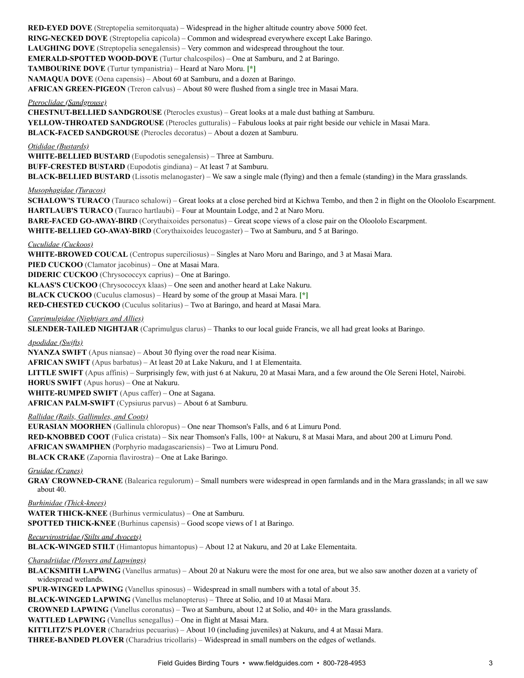**RED-EYED DOVE** (Streptopelia semitorquata) – Widespread in the higher altitude country above 5000 feet. **RING-NECKED DOVE** (Streptopelia capicola) – Common and widespread everywhere except Lake Baringo. **LAUGHING DOVE** (Streptopelia senegalensis) – Very common and widespread throughout the tour. **EMERALD-SPOTTED WOOD-DOVE** (Turtur chalcospilos) – One at Samburu, and 2 at Baringo. **TAMBOURINE DOVE** (Turtur tympanistria) – Heard at Naro Moru. **[\*] NAMAQUA DOVE** (Oena capensis) – About 60 at Samburu, and a dozen at Baringo. **AFRICAN GREEN-PIGEON** (Treron calvus) – About 80 were flushed from a single tree in Masai Mara. *Pteroclidae (Sandgrouse)* **CHESTNUT-BELLIED SANDGROUSE** (Pterocles exustus) – Great looks at a male dust bathing at Samburu. **YELLOW-THROATED SANDGROUSE** (Pterocles gutturalis) – Fabulous looks at pair right beside our vehicle in Masai Mara. **BLACK-FACED SANDGROUSE** (Pterocles decoratus) – About a dozen at Samburu. *Otididae (Bustards)* **WHITE-BELLIED BUSTARD** (Eupodotis senegalensis) – Three at Samburu. **BUFF-CRESTED BUSTARD** (Eupodotis gindiana) – At least 7 at Samburu. **BLACK-BELLIED BUSTARD** (Lissotis melanogaster) – We saw a single male (flying) and then a female (standing) in the Mara grasslands. *Musophagidae (Turacos)* **SCHALOW'S TURACO** (Tauraco schalowi) – Great looks at a close perched bird at Kichwa Tembo, and then 2 in flight on the Oloololo Escarpment. **HARTLAUB'S TURACO** (Tauraco hartlaubi) – Four at Mountain Lodge, and 2 at Naro Moru. **BARE-FACED GO-AWAY-BIRD** (Corythaixoides personatus) – Great scope views of a close pair on the Oloololo Escarpment. WHITE-BELLIED GO-AWAY-BIRD (Corythaixoides leucogaster) – Two at Samburu, and 5 at Baringo. *Cuculidae (Cuckoos)* **WHITE-BROWED COUCAL** (Centropus superciliosus) – Singles at Naro Moru and Baringo, and 3 at Masai Mara. **PIED CUCKOO** (Clamator jacobinus) – One at Masai Mara. **DIDERIC CUCKOO** (Chrysococcyx caprius) – One at Baringo. **KLAAS'S CUCKOO** (Chrysococcyx klaas) – One seen and another heard at Lake Nakuru. **BLACK CUCKOO** (Cuculus clamosus) – Heard by some of the group at Masai Mara. **[\*] RED-CHESTED CUCKOO** (Cuculus solitarius) – Two at Baringo, and heard at Masai Mara. *Caprimulgidae (Nightjars and Allies)* **SLENDER-TAILED NIGHTJAR** (Caprimulgus clarus) – Thanks to our local guide Francis, we all had great looks at Baringo. *Apodidae (Swifts)* **NYANZA SWIFT** (Apus niansae) – About 30 flying over the road near Kisima. **AFRICAN SWIFT** (Apus barbatus) – At least 20 at Lake Nakuru, and 1 at Elementaita. **LITTLE SWIFT** (Apus affinis) – Surprisingly few, with just 6 at Nakuru, 20 at Masai Mara, and a few around the Ole Sereni Hotel, Nairobi. **HORUS SWIFT** (Apus horus) – One at Nakuru. **WHITE-RUMPED SWIFT** (Apus caffer) – One at Sagana. **AFRICAN PALM-SWIFT** (Cypsiurus parvus) – About 6 at Samburu. *Rallidae (Rails, Gallinules, and Coots)*

**EURASIAN MOORHEN** (Gallinula chloropus) – One near Thomson's Falls, and 6 at Limuru Pond. **RED-KNOBBED COOT** (Fulica cristata) – Six near Thomson's Falls, 100+ at Nakuru, 8 at Masai Mara, and about 200 at Limuru Pond. **AFRICAN SWAMPHEN** (Porphyrio madagascariensis) – Two at Limuru Pond.

**BLACK CRAKE** (Zapornia flavirostra) – One at Lake Baringo.

*Gruidae (Cranes)*

**GRAY CROWNED-CRANE** (Balearica regulorum) – Small numbers were widespread in open farmlands and in the Mara grasslands; in all we saw about 40.

*Burhinidae (Thick-knees)*

**WATER THICK-KNEE** (Burhinus vermiculatus) – One at Samburu. **SPOTTED THICK-KNEE** (Burhinus capensis) – Good scope views of 1 at Baringo.

*Recurvirostridae (Stilts and Avocets)*

**BLACK-WINGED STILT** (Himantopus himantopus) – About 12 at Nakuru, and 20 at Lake Elementaita.

*Charadriidae (Plovers and Lapwings)*

**BLACKSMITH LAPWING** (Vanellus armatus) – About 20 at Nakuru were the most for one area, but we also saw another dozen at a variety of widespread wetlands.

**SPUR-WINGED LAPWING** (Vanellus spinosus) – Widespread in small numbers with a total of about 35.

**BLACK-WINGED LAPWING** (Vanellus melanopterus) – Three at Solio, and 10 at Masai Mara.

**CROWNED LAPWING** (Vanellus coronatus) – Two at Samburu, about 12 at Solio, and 40+ in the Mara grasslands.

**WATTLED LAPWING** (Vanellus senegallus) – One in flight at Masai Mara.

**KITTLITZ'S PLOVER** (Charadrius pecuarius) – About 10 (including juveniles) at Nakuru, and 4 at Masai Mara.

**THREE-BANDED PLOVER** (Charadrius tricollaris) – Widespread in small numbers on the edges of wetlands.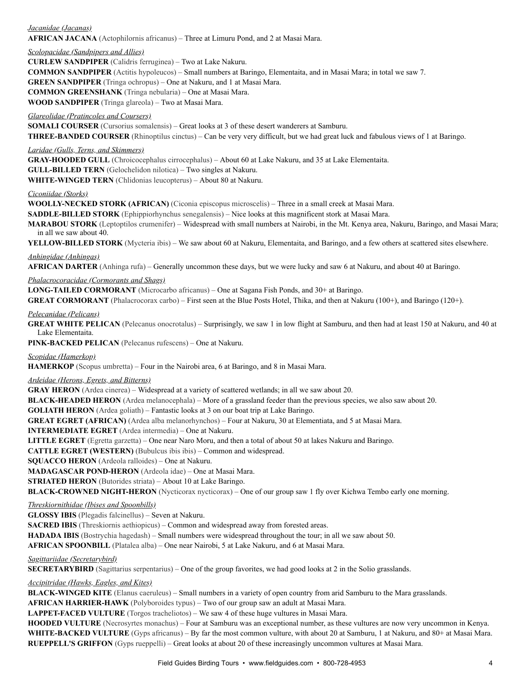## *Jacanidae (Jacanas)* **AFRICAN JACANA** (Actophilornis africanus) – Three at Limuru Pond, and 2 at Masai Mara.

## *Scolopacidae (Sandpipers and Allies)*

**CURLEW SANDPIPER** (Calidris ferruginea) – Two at Lake Nakuru.

**COMMON SANDPIPER** (Actitis hypoleucos) – Small numbers at Baringo, Elementaita, and in Masai Mara; in total we saw 7.

**GREEN SANDPIPER** (Tringa ochropus) – One at Nakuru, and 1 at Masai Mara.

**COMMON GREENSHANK** (Tringa nebularia) – One at Masai Mara.

**WOOD SANDPIPER** (Tringa glareola) – Two at Masai Mara.

## *Glareolidae (Pratincoles and Coursers)*

**SOMALI COURSER** (Cursorius somalensis) – Great looks at 3 of these desert wanderers at Samburu.

**THREE-BANDED COURSER** (Rhinoptilus cinctus) – Can be very very difficult, but we had great luck and fabulous views of 1 at Baringo.

## *Laridae (Gulls, Terns, and Skimmers)*

**GRAY-HOODED GULL** (Chroicocephalus cirrocephalus) – About 60 at Lake Nakuru, and 35 at Lake Elementaita.

**GULL-BILLED TERN** (Gelochelidon nilotica) – Two singles at Nakuru.

**WHITE-WINGED TERN** (Chlidonias leucopterus) – About 80 at Nakuru.

### *Ciconiidae (Storks)*

**WOOLLY-NECKED STORK (AFRICAN)** (Ciconia episcopus microscelis) – Three in a small creek at Masai Mara.

**SADDLE-BILLED STORK** (Ephippiorhynchus senegalensis) – Nice looks at this magnificent stork at Masai Mara.

**MARABOU STORK** (Leptoptilos crumenifer) – Widespread with small numbers at Nairobi, in the Mt. Kenya area, Nakuru, Baringo, and Masai Mara; in all we saw about 40.

**YELLOW-BILLED STORK** (Mycteria ibis) – We saw about 60 at Nakuru, Elementaita, and Baringo, and a few others at scattered sites elsewhere.

### *Anhingidae (Anhingas)*

**AFRICAN DARTER** (Anhinga rufa) – Generally uncommon these days, but we were lucky and saw 6 at Nakuru, and about 40 at Baringo.

### *Phalacrocoracidae (Cormorants and Shags)*

**LONG-TAILED CORMORANT** (Microcarbo africanus) – One at Sagana Fish Ponds, and 30+ at Baringo.

**GREAT CORMORANT** (Phalacrocorax carbo) – First seen at the Blue Posts Hotel, Thika, and then at Nakuru (100+), and Baringo (120+).

### *Pelecanidae (Pelicans)*

**GREAT WHITE PELICAN** (Pelecanus onocrotalus) – Surprisingly, we saw 1 in low flight at Samburu, and then had at least 150 at Nakuru, and 40 at Lake Elementaita.

**PINK-BACKED PELICAN** (Pelecanus rufescens) – One at Nakuru.

## *Scopidae (Hamerkop)*

**HAMERKOP** (Scopus umbretta) – Four in the Nairobi area, 6 at Baringo, and 8 in Masai Mara.

### *Ardeidae (Herons, Egrets, and Bitterns)*

**GRAY HERON** (Ardea cinerea) – Widespread at a variety of scattered wetlands; in all we saw about 20.

**BLACK-HEADED HERON** (Ardea melanocephala) – More of a grassland feeder than the previous species, we also saw about 20.

**GOLIATH HERON** (Ardea goliath) – Fantastic looks at 3 on our boat trip at Lake Baringo.

**GREAT EGRET (AFRICAN)** (Ardea alba melanorhynchos) – Four at Nakuru, 30 at Elementiata, and 5 at Masai Mara.

**INTERMEDIATE EGRET** (Ardea intermedia) – One at Nakuru.

**LITTLE EGRET** (Egretta garzetta) – One near Naro Moru, and then a total of about 50 at lakes Nakuru and Baringo.

**CATTLE EGRET (WESTERN)** (Bubulcus ibis ibis) – Common and widespread.

**SQUACCO HERON** (Ardeola ralloides) – One at Nakuru.

**MADAGASCAR POND-HERON** (Ardeola idae) – One at Masai Mara.

**STRIATED HERON** (Butorides striata) – About 10 at Lake Baringo.

**BLACK-CROWNED NIGHT-HERON** (Nycticorax nycticorax) – One of our group saw 1 fly over Kichwa Tembo early one morning.

## *Threskiornithidae (Ibises and Spoonbills)*

**GLOSSY IBIS** (Plegadis falcinellus) – Seven at Nakuru.

**SACRED IBIS** (Threskiornis aethiopicus) – Common and widespread away from forested areas.

**HADADA IBIS** (Bostrychia hagedash) – Small numbers were widespread throughout the tour; in all we saw about 50.

**AFRICAN SPOONBILL** (Platalea alba) – One near Nairobi, 5 at Lake Nakuru, and 6 at Masai Mara.

### *Sagittariidae (Secretarybird)*

**SECRETARYBIRD** (Sagittarius serpentarius) – One of the group favorites, we had good looks at 2 in the Solio grasslands.

### *Accipitridae (Hawks, Eagles, and Kites)*

**BLACK-WINGED KITE** (Elanus caeruleus) – Small numbers in a variety of open country from arid Samburu to the Mara grasslands.

**AFRICAN HARRIER-HAWK** (Polyboroides typus) – Two of our group saw an adult at Masai Mara.

**LAPPET-FACED VULTURE** (Torgos tracheliotos) – We saw 4 of these huge vultures in Masai Mara.

**HOODED VULTURE** (Necrosyrtes monachus) – Four at Samburu was an exceptional number, as these vultures are now very uncommon in Kenya. **WHITE-BACKED VULTURE** (Gyps africanus) – By far the most common vulture, with about 20 at Samburu, 1 at Nakuru, and 80+ at Masai Mara. **RUEPPELL'S GRIFFON** (Gyps rueppelli) – Great looks at about 20 of these increasingly uncommon vultures at Masai Mara.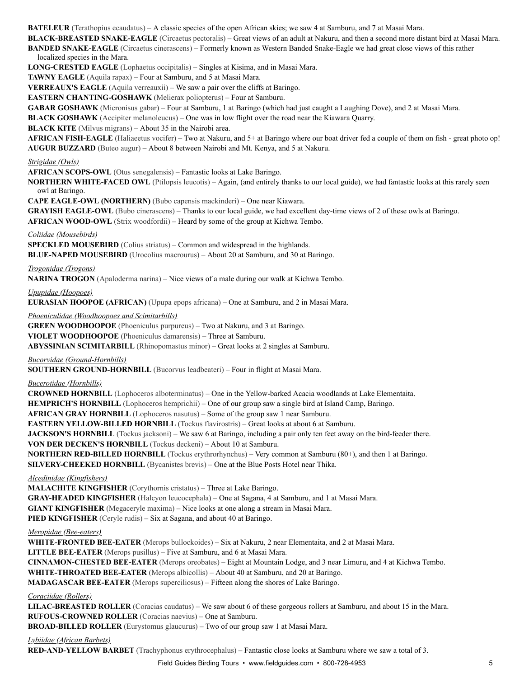**BATELEUR** (Terathopius ecaudatus) – A classic species of the open African skies; we saw 4 at Samburu, and 7 at Masai Mara.

**BLACK-BREASTED SNAKE-EAGLE** (Circaetus pectoralis) – Great views of an adult at Nakuru, and then a second more distant bird at Masai Mara. **BANDED SNAKE-EAGLE** (Circaetus cinerascens) – Formerly known as Western Banded Snake-Eagle we had great close views of this rather localized species in the Mara.

**LONG-CRESTED EAGLE** (Lophaetus occipitalis) – Singles at Kisima, and in Masai Mara.

**TAWNY EAGLE** (Aquila rapax) – Four at Samburu, and 5 at Masai Mara.

**VERREAUX'S EAGLE** (Aquila verreauxii) – We saw a pair over the cliffs at Baringo.

**EASTERN CHANTING-GOSHAWK** (Melierax poliopterus) – Four at Samburu.

**GABAR GOSHAWK** (Micronisus gabar) – Four at Samburu, 1 at Baringo (which had just caught a Laughing Dove), and 2 at Masai Mara.

**BLACK GOSHAWK** (Accipiter melanoleucus) – One was in low flight over the road near the Kiawara Quarry.

**BLACK KITE** (Milvus migrans) – About 35 in the Nairobi area.

**AFRICAN FISH-EAGLE** (Haliaeetus vocifer) – Two at Nakuru, and 5+ at Baringo where our boat driver fed a couple of them on fish - great photo op! **AUGUR BUZZARD** (Buteo augur) – About 8 between Nairobi and Mt. Kenya, and 5 at Nakuru.

#### *Strigidae (Owls)*

**AFRICAN SCOPS-OWL** (Otus senegalensis) – Fantastic looks at Lake Baringo.

**NORTHERN WHITE-FACED OWL** (Ptilopsis leucotis) – Again, (and entirely thanks to our local guide), we had fantastic looks at this rarely seen owl at Baringo.

**CAPE EAGLE-OWL (NORTHERN)** (Bubo capensis mackinderi) – One near Kiawara.

**GRAYISH EAGLE-OWL** (Bubo cinerascens) – Thanks to our local guide, we had excellent day-time views of 2 of these owls at Baringo. **AFRICAN WOOD-OWL** (Strix woodfordii) – Heard by some of the group at Kichwa Tembo.

#### *Coliidae (Mousebirds)*

**SPECKLED MOUSEBIRD** (Colius striatus) – Common and widespread in the highlands. **BLUE-NAPED MOUSEBIRD** (Urocolius macrourus) – About 20 at Samburu, and 30 at Baringo.

*Trogonidae (Trogons)*

**NARINA TROGON** (Apaloderma narina) – Nice views of a male during our walk at Kichwa Tembo.

*Upupidae (Hoopoes)*

**EURASIAN HOOPOE (AFRICAN)** (Upupa epops africana) – One at Samburu, and 2 in Masai Mara.

*Phoeniculidae (Woodhoopoes and Scimitarbills)*

**GREEN WOODHOOPOE** (Phoeniculus purpureus) – Two at Nakuru, and 3 at Baringo. **VIOLET WOODHOOPOE** (Phoeniculus damarensis) – Three at Samburu.

**ABYSSINIAN SCIMITARBILL** (Rhinopomastus minor) – Great looks at 2 singles at Samburu.

*Bucorvidae (Ground-Hornbills)*

**SOUTHERN GROUND-HORNBILL** (Bucorvus leadbeateri) – Four in flight at Masai Mara.

*Bucerotidae (Hornbills)*

**CROWNED HORNBILL** (Lophoceros alboterminatus) – One in the Yellow-barked Acacia woodlands at Lake Elementaita. **HEMPRICH'S HORNBILL** (Lophoceros hemprichii) – One of our group saw a single bird at Island Camp, Baringo. **AFRICAN GRAY HORNBILL** (Lophoceros nasutus) – Some of the group saw 1 near Samburu. **EASTERN YELLOW-BILLED HORNBILL** (Tockus flavirostris) – Great looks at about 6 at Samburu. **JACKSON'S HORNBILL** (Tockus jacksoni) – We saw 6 at Baringo, including a pair only ten feet away on the bird-feeder there. **VON DER DECKEN'S HORNBILL** (Tockus deckeni) – About 10 at Samburu. **NORTHERN RED-BILLED HORNBILL** (Tockus erythrorhynchus) – Very common at Samburu (80+), and then 1 at Baringo.

**SILVERY-CHEEKED HORNBILL** (Bycanistes brevis) – One at the Blue Posts Hotel near Thika.

*Alcedinidae (Kingfishers)*

**MALACHITE KINGFISHER** (Corythornis cristatus) – Three at Lake Baringo. **GRAY-HEADED KINGFISHER** (Halcyon leucocephala) – One at Sagana, 4 at Samburu, and 1 at Masai Mara. **GIANT KINGFISHER** (Megaceryle maxima) – Nice looks at one along a stream in Masai Mara. **PIED KINGFISHER** (Ceryle rudis) – Six at Sagana, and about 40 at Baringo.

*Meropidae (Bee-eaters)*

**WHITE-FRONTED BEE-EATER** (Merops bullockoides) – Six at Nakuru, 2 near Elementaita, and 2 at Masai Mara. **LITTLE BEE-EATER** (Merops pusillus) – Five at Samburu, and 6 at Masai Mara. **CINNAMON-CHESTED BEE-EATER** (Merops oreobates) – Eight at Mountain Lodge, and 3 near Limuru, and 4 at Kichwa Tembo. **WHITE-THROATED BEE-EATER** (Merops albicollis) – About 40 at Samburu, and 20 at Baringo. **MADAGASCAR BEE-EATER** (Merops superciliosus) – Fifteen along the shores of Lake Baringo.

*Coraciidae (Rollers)*

**LILAC-BREASTED ROLLER** (Coracias caudatus) – We saw about 6 of these gorgeous rollers at Samburu, and about 15 in the Mara. **RUFOUS-CROWNED ROLLER** (Coracias naevius) – One at Samburu.

**BROAD-BILLED ROLLER** (Eurystomus glaucurus) – Two of our group saw 1 at Masai Mara.

*Lybiidae (African Barbets)*

**RED-AND-YELLOW BARBET** (Trachyphonus erythrocephalus) – Fantastic close looks at Samburu where we saw a total of 3.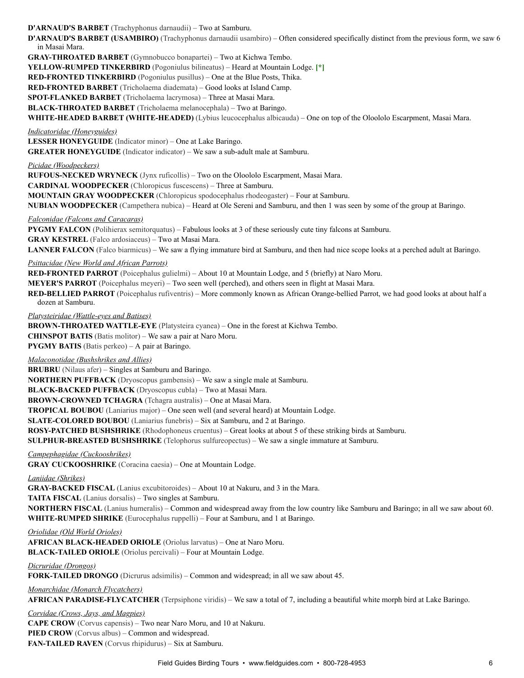**D'ARNAUD'S BARBET** (Trachyphonus darnaudii) – Two at Samburu.

**D'ARNAUD'S BARBET (USAMBIRO)** (Trachyphonus darnaudii usambiro) – Often considered specifically distinct from the previous form, we saw 6 in Masai Mara.

**GRAY-THROATED BARBET** (Gymnobucco bonapartei) – Two at Kichwa Tembo.

**YELLOW-RUMPED TINKERBIRD** (Pogoniulus bilineatus) – Heard at Mountain Lodge. **[\*]**

**RED-FRONTED TINKERBIRD** (Pogoniulus pusillus) – One at the Blue Posts, Thika.

**RED-FRONTED BARBET** (Tricholaema diademata) – Good looks at Island Camp.

**SPOT-FLANKED BARBET** (Tricholaema lacrymosa) – Three at Masai Mara.

**BLACK-THROATED BARBET** (Tricholaema melanocephala) – Two at Baringo.

**WHITE-HEADED BARBET (WHITE-HEADED)** (Lybius leucocephalus albicauda) – One on top of the Oloololo Escarpment, Masai Mara.

*Indicatoridae (Honeyguides)*

**LESSER HONEYGUIDE** (Indicator minor) – One at Lake Baringo.

**GREATER HONEYGUIDE** (Indicator indicator) – We saw a sub-adult male at Samburu.

#### *Picidae (Woodpeckers)*

**RUFOUS-NECKED WRYNECK** (Jynx ruficollis) – Two on the Oloololo Escarpment, Masai Mara.

**CARDINAL WOODPECKER** (Chloropicus fuscescens) – Three at Samburu.

**MOUNTAIN GRAY WOODPECKER** (Chloropicus spodocephalus rhodeogaster) – Four at Samburu.

**NUBIAN WOODPECKER** (Campethera nubica) – Heard at Ole Sereni and Samburu, and then 1 was seen by some of the group at Baringo.

*Falconidae (Falcons and Caracaras)*

**PYGMY FALCON** (Polihierax semitorquatus) – Fabulous looks at 3 of these seriously cute tiny falcons at Samburu.

**GRAY KESTREL** (Falco ardosiaceus) – Two at Masai Mara.

**LANNER FALCON** (Falco biarmicus) – We saw a flying immature bird at Samburu, and then had nice scope looks at a perched adult at Baringo.

#### *Psittacidae (New World and African Parrots)*

**RED-FRONTED PARROT** (Poicephalus gulielmi) – About 10 at Mountain Lodge, and 5 (briefly) at Naro Moru.

**MEYER'S PARROT** (Poicephalus meyeri) – Two seen well (perched), and others seen in flight at Masai Mara.

**RED-BELLIED PARROT** (Poicephalus rufiventris) – More commonly known as African Orange-bellied Parrot, we had good looks at about half a dozen at Samburu.

*Platysteiridae (Wattle-eyes and Batises)*

**BROWN-THROATED WATTLE-EYE** (Platysteira cyanea) – One in the forest at Kichwa Tembo. **CHINSPOT BATIS** (Batis molitor) – We saw a pair at Naro Moru. **PYGMY BATIS** (Batis perkeo) – A pair at Baringo.

*Malaconotidae (Bushshrikes and Allies)*

**BRUBRU** (Nilaus afer) – Singles at Samburu and Baringo.

**NORTHERN PUFFBACK** (Dryoscopus gambensis) – We saw a single male at Samburu.

**BLACK-BACKED PUFFBACK** (Dryoscopus cubla) – Two at Masai Mara.

**BROWN-CROWNED TCHAGRA** (Tchagra australis) – One at Masai Mara.

**TROPICAL BOUBOU** (Laniarius major) – One seen well (and several heard) at Mountain Lodge.

**SLATE-COLORED BOUBOU** (Laniarius funebris) – Six at Samburu, and 2 at Baringo.

**ROSY-PATCHED BUSHSHRIKE** (Rhodophoneus cruentus) – Great looks at about 5 of these striking birds at Samburu.

**SULPHUR-BREASTED BUSHSHRIKE** (Telophorus sulfureopectus) – We saw a single immature at Samburu.

### *Campephagidae (Cuckooshrikes)*

**GRAY CUCKOOSHRIKE** (Coracina caesia) – One at Mountain Lodge.

*Laniidae (Shrikes)*

**GRAY-BACKED FISCAL** (Lanius excubitoroides) – About 10 at Nakuru, and 3 in the Mara.

**TAITA FISCAL** (Lanius dorsalis) – Two singles at Samburu.

**NORTHERN FISCAL** (Lanius humeralis) – Common and widespread away from the low country like Samburu and Baringo; in all we saw about 60. **WHITE-RUMPED SHRIKE** (Eurocephalus ruppelli) – Four at Samburu, and 1 at Baringo.

*Oriolidae (Old World Orioles)*

**AFRICAN BLACK-HEADED ORIOLE** (Oriolus larvatus) – One at Naro Moru. **BLACK-TAILED ORIOLE** (Oriolus percivali) – Four at Mountain Lodge.

### *Dicruridae (Drongos)*

**FORK-TAILED DRONGO** (Dicrurus adsimilis) – Common and widespread; in all we saw about 45.

*Monarchidae (Monarch Flycatchers)*

**AFRICAN PARADISE-FLYCATCHER** (Terpsiphone viridis) – We saw a total of 7, including a beautiful white morph bird at Lake Baringo.

*Corvidae (Crows, Jays, and Magpies)*

**CAPE CROW** (Corvus capensis) – Two near Naro Moru, and 10 at Nakuru. **PIED CROW** (Corvus albus) – Common and widespread. **FAN-TAILED RAVEN** (Corvus rhipidurus) – Six at Samburu.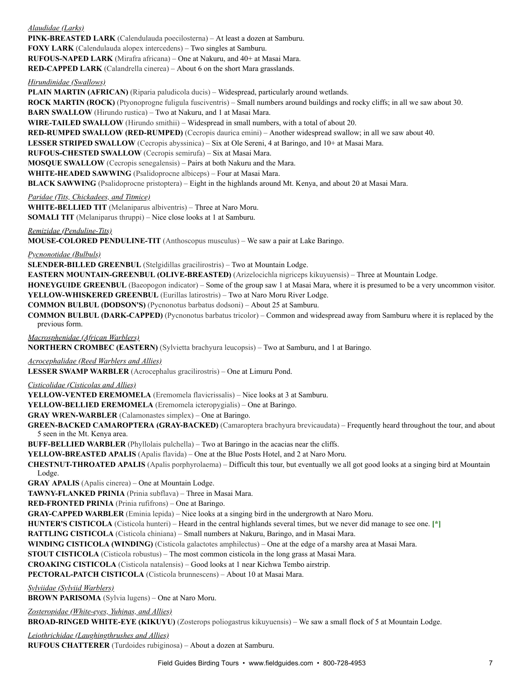*Alaudidae (Larks)* **PINK-BREASTED LARK** (Calendulauda poecilosterna) – At least a dozen at Samburu. **FOXY LARK** (Calendulauda alopex intercedens) – Two singles at Samburu. **RUFOUS-NAPED LARK** (Mirafra africana) – One at Nakuru, and 40+ at Masai Mara. **RED-CAPPED LARK** (Calandrella cinerea) – About 6 on the short Mara grasslands.

*Hirundinidae (Swallows)*

**PLAIN MARTIN (AFRICAN)** (Riparia paludicola ducis) – Widespread, particularly around wetlands.

**ROCK MARTIN (ROCK)** (Ptyonoprogne fuligula fusciventris) – Small numbers around buildings and rocky cliffs; in all we saw about 30.

**BARN SWALLOW** (Hirundo rustica) – Two at Nakuru, and 1 at Masai Mara.

**WIRE-TAILED SWALLOW** (Hirundo smithii) – Widespread in small numbers, with a total of about 20.

**RED-RUMPED SWALLOW (RED-RUMPED)** (Cecropis daurica emini) – Another widespread swallow; in all we saw about 40.

**LESSER STRIPED SWALLOW** (Cecropis abyssinica) – Six at Ole Sereni, 4 at Baringo, and 10+ at Masai Mara.

**RUFOUS-CHESTED SWALLOW** (Cecropis semirufa) – Six at Masai Mara.

**MOSQUE SWALLOW** (Cecropis senegalensis) – Pairs at both Nakuru and the Mara.

**WHITE-HEADED SAWWING** (Psalidoprocne albiceps) – Four at Masai Mara.

**BLACK SAWWING** (Psalidoprocne pristoptera) – Eight in the highlands around Mt. Kenya, and about 20 at Masai Mara.

*Paridae (Tits, Chickadees, and Titmice)*

**WHITE-BELLIED TIT** (Melaniparus albiventris) – Three at Naro Moru.

**SOMALI TIT** (Melaniparus thruppi) – Nice close looks at 1 at Samburu.

*Remizidae (Penduline-Tits)*

**MOUSE-COLORED PENDULINE-TIT** (Anthoscopus musculus) – We saw a pair at Lake Baringo.

*Pycnonotidae (Bulbuls)*

**SLENDER-BILLED GREENBUL** (Stelgidillas gracilirostris) – Two at Mountain Lodge.

**EASTERN MOUNTAIN-GREENBUL (OLIVE-BREASTED)** (Arizelocichla nigriceps kikuyuensis) – Three at Mountain Lodge.

**HONEYGUIDE GREENBUL** (Baeopogon indicator) – Some of the group saw 1 at Masai Mara, where it is presumed to be a very uncommon visitor. **YELLOW-WHISKERED GREENBUL** (Eurillas latirostris) – Two at Naro Moru River Lodge.

**COMMON BULBUL (DODSON'S)** (Pycnonotus barbatus dodsoni) – About 25 at Samburu.

**COMMON BULBUL (DARK-CAPPED)** (Pycnonotus barbatus tricolor) – Common and widespread away from Samburu where it is replaced by the previous form.

*Macrosphenidae (African Warblers)*

**NORTHERN CROMBEC (EASTERN)** (Sylvietta brachyura leucopsis) – Two at Samburu, and 1 at Baringo.

*Acrocephalidae (Reed Warblers and Allies)*

**LESSER SWAMP WARBLER** (Acrocephalus gracilirostris) – One at Limuru Pond.

*Cisticolidae (Cisticolas and Allies)*

**YELLOW-VENTED EREMOMELA** (Eremomela flavicrissalis) – Nice looks at 3 at Samburu.

**YELLOW-BELLIED EREMOMELA** (Eremomela icteropygialis) – One at Baringo.

**GRAY WREN-WARBLER** (Calamonastes simplex) – One at Baringo.

**GREEN-BACKED CAMAROPTERA (GRAY-BACKED)** (Camaroptera brachyura brevicaudata) – Frequently heard throughout the tour, and about 5 seen in the Mt. Kenya area.

**BUFF-BELLIED WARBLER** (Phyllolais pulchella) – Two at Baringo in the acacias near the cliffs.

**YELLOW-BREASTED APALIS** (Apalis flavida) – One at the Blue Posts Hotel, and 2 at Naro Moru.

**CHESTNUT-THROATED APALIS** (Apalis porphyrolaema) – Difficult this tour, but eventually we all got good looks at a singing bird at Mountain Lodge.

**GRAY APALIS** (Apalis cinerea) – One at Mountain Lodge.

**TAWNY-FLANKED PRINIA** (Prinia subflava) – Three in Masai Mara.

**RED-FRONTED PRINIA** (Prinia rufifrons) – One at Baringo.

**GRAY-CAPPED WARBLER** (Eminia lepida) – Nice looks at a singing bird in the undergrowth at Naro Moru.

**HUNTER'S CISTICOLA** (Cisticola hunteri) – Heard in the central highlands several times, but we never did manage to see one. **[\*]**

**RATTLING CISTICOLA** (Cisticola chiniana) – Small numbers at Nakuru, Baringo, and in Masai Mara.

**WINDING CISTICOLA (WINDING)** (Cisticola galactotes amphilectus) – One at the edge of a marshy area at Masai Mara.

**STOUT CISTICOLA** (Cisticola robustus) – The most common cisticola in the long grass at Masai Mara.

**CROAKING CISTICOLA** (Cisticola natalensis) – Good looks at 1 near Kichwa Tembo airstrip.

**PECTORAL-PATCH CISTICOLA** (Cisticola brunnescens) – About 10 at Masai Mara.

*Sylviidae (Sylviid Warblers)*

**BROWN PARISOMA** (Sylvia lugens) – One at Naro Moru.

*Zosteropidae (White-eyes, Yuhinas, and Allies)*

**BROAD-RINGED WHITE-EYE (KIKUYU)** (Zosterops poliogastrus kikuyuensis) – We saw a small flock of 5 at Mountain Lodge.

*Leiothrichidae (Laughingthrushes and Allies)* **RUFOUS CHATTERER** (Turdoides rubiginosa) – About a dozen at Samburu.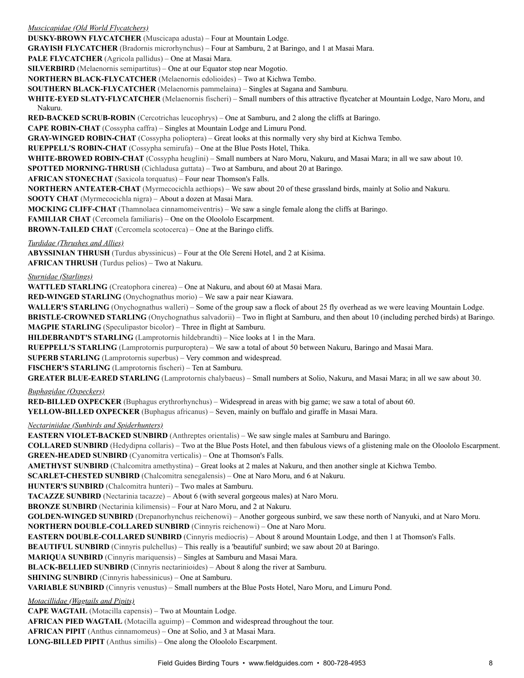*Muscicapidae (Old World Flycatchers)*

**DUSKY-BROWN FLYCATCHER** (Muscicapa adusta) – Four at Mountain Lodge.

**GRAYISH FLYCATCHER** (Bradornis microrhynchus) – Four at Samburu, 2 at Baringo, and 1 at Masai Mara.

**PALE FLYCATCHER** (Agricola pallidus) – One at Masai Mara.

**SILVERBIRD** (Melaenornis semipartitus) – One at our Equator stop near Mogotio.

**NORTHERN BLACK-FLYCATCHER** (Melaenornis edolioides) – Two at Kichwa Tembo.

**SOUTHERN BLACK-FLYCATCHER** (Melaenornis pammelaina) – Singles at Sagana and Samburu.

**WHITE-EYED SLATY-FLYCATCHER** (Melaenornis fischeri) – Small numbers of this attractive flycatcher at Mountain Lodge, Naro Moru, and Nakuru.

**RED-BACKED SCRUB-ROBIN** (Cercotrichas leucophrys) – One at Samburu, and 2 along the cliffs at Baringo.

**CAPE ROBIN-CHAT** (Cossypha caffra) – Singles at Mountain Lodge and Limuru Pond.

**GRAY-WINGED ROBIN-CHAT** (Cossypha polioptera) – Great looks at this normally very shy bird at Kichwa Tembo.

**RUEPPELL'S ROBIN-CHAT** (Cossypha semirufa) – One at the Blue Posts Hotel, Thika.

**WHITE-BROWED ROBIN-CHAT** (Cossypha heuglini) – Small numbers at Naro Moru, Nakuru, and Masai Mara; in all we saw about 10.

**SPOTTED MORNING-THRUSH** (Cichladusa guttata) – Two at Samburu, and about 20 at Baringo.

**AFRICAN STONECHAT** (Saxicola torquatus) – Four near Thomson's Falls.

**NORTHERN ANTEATER-CHAT** (Myrmecocichla aethiops) – We saw about 20 of these grassland birds, mainly at Solio and Nakuru.

**SOOTY CHAT** (Myrmecocichla nigra) – About a dozen at Masai Mara.

**MOCKING CLIFF-CHAT** (Thamnolaea cinnamomeiventris) – We saw a single female along the cliffs at Baringo.

**FAMILIAR CHAT** (Cercomela familiaris) – One on the Oloololo Escarpment.

**BROWN-TAILED CHAT** (Cercomela scotocerca) – One at the Baringo cliffs.

*Turdidae (Thrushes and Allies)*

**ABYSSINIAN THRUSH** (Turdus abyssinicus) – Four at the Ole Sereni Hotel, and 2 at Kisima.

**AFRICAN THRUSH** (Turdus pelios) – Two at Nakuru.

#### *Sturnidae (Starlings)*

**WATTLED STARLING** (Creatophora cinerea) – One at Nakuru, and about 60 at Masai Mara.

**RED-WINGED STARLING** (Onychognathus morio) – We saw a pair near Kiawara.

WALLER'S STARLING (Onychognathus walleri) – Some of the group saw a flock of about 25 fly overhead as we were leaving Mountain Lodge.

**BRISTLE-CROWNED STARLING** (Onychognathus salvadorii) – Two in flight at Samburu, and then about 10 (including perched birds) at Baringo. **MAGPIE STARLING** (Speculipastor bicolor) – Three in flight at Samburu.

**HILDEBRANDT'S STARLING** (Lamprotornis hildebrandti) – Nice looks at 1 in the Mara.

**RUEPPELL'S STARLING** (Lamprotornis purpuroptera) – We saw a total of about 50 between Nakuru, Baringo and Masai Mara.

**SUPERB STARLING** (Lamprotornis superbus) – Very common and widespread.

**FISCHER'S STARLING** (Lamprotornis fischeri) – Ten at Samburu.

**GREATER BLUE-EARED STARLING** (Lamprotornis chalybaeus) – Small numbers at Solio, Nakuru, and Masai Mara; in all we saw about 30.

*Buphagidae (Oxpeckers)*

**RED-BILLED OXPECKER** (Buphagus erythrorhynchus) – Widespread in areas with big game; we saw a total of about 60.

**YELLOW-BILLED OXPECKER** (Buphagus africanus) – Seven, mainly on buffalo and giraffe in Masai Mara.

*Nectariniidae (Sunbirds and Spiderhunters)*

**EASTERN VIOLET-BACKED SUNBIRD** (Anthreptes orientalis) – We saw single males at Samburu and Baringo.

**COLLARED SUNBIRD** (Hedydipna collaris) – Two at the Blue Posts Hotel, and then fabulous views of a glistening male on the Oloololo Escarpment. **GREEN-HEADED SUNBIRD** (Cyanomitra verticalis) – One at Thomson's Falls.

**AMETHYST SUNBIRD** (Chalcomitra amethystina) – Great looks at 2 males at Nakuru, and then another single at Kichwa Tembo.

**SCARLET-CHESTED SUNBIRD** (Chalcomitra senegalensis) – One at Naro Moru, and 6 at Nakuru.

**HUNTER'S SUNBIRD** (Chalcomitra hunteri) – Two males at Samburu.

**TACAZZE SUNBIRD** (Nectarinia tacazze) – About 6 (with several gorgeous males) at Naro Moru.

**BRONZE SUNBIRD** (Nectarinia kilimensis) – Four at Naro Moru, and 2 at Nakuru.

**GOLDEN-WINGED SUNBIRD** (Drepanorhynchus reichenowi) – Another gorgeous sunbird, we saw these north of Nanyuki, and at Naro Moru. **NORTHERN DOUBLE-COLLARED SUNBIRD** (Cinnyris reichenowi) – One at Naro Moru.

**EASTERN DOUBLE-COLLARED SUNBIRD** (Cinnyris mediocris) – About 8 around Mountain Lodge, and then 1 at Thomson's Falls.

**BEAUTIFUL SUNBIRD** (Cinnyris pulchellus) – This really is a 'beautiful' sunbird; we saw about 20 at Baringo.

**MARIQUA SUNBIRD** (Cinnyris mariquensis) – Singles at Samburu and Masai Mara.

**BLACK-BELLIED SUNBIRD** (Cinnyris nectarinioides) – About 8 along the river at Samburu.

**SHINING SUNBIRD** (Cinnyris habessinicus) – One at Samburu.

**VARIABLE SUNBIRD** (Cinnyris venustus) – Small numbers at the Blue Posts Hotel, Naro Moru, and Limuru Pond.

*Motacillidae (Wagtails and Pipits)*

**CAPE WAGTAIL** (Motacilla capensis) – Two at Mountain Lodge.

**AFRICAN PIED WAGTAIL** (Motacilla aguimp) – Common and widespread throughout the tour.

**AFRICAN PIPIT** (Anthus cinnamomeus) – One at Solio, and 3 at Masai Mara.

**LONG-BILLED PIPIT** (Anthus similis) – One along the Oloololo Escarpment.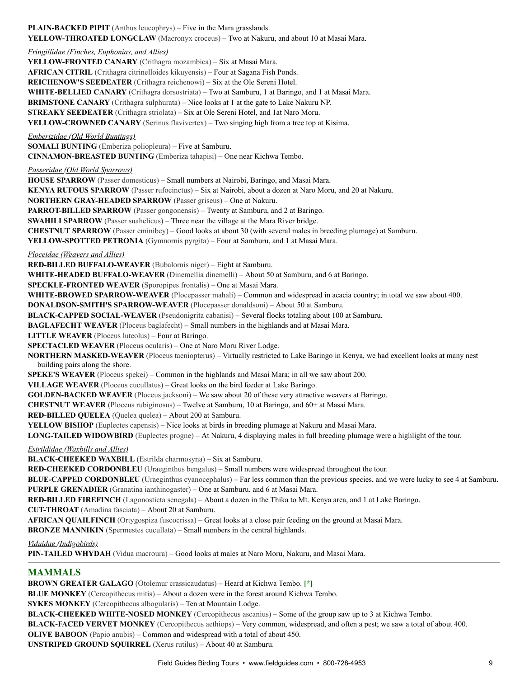**PLAIN-BACKED PIPIT** (Anthus leucophrys) – Five in the Mara grasslands. **YELLOW-THROATED LONGCLAW** (Macronyx croceus) – Two at Nakuru, and about 10 at Masai Mara. *Fringillidae (Finches, Euphonias, and Allies)* **YELLOW-FRONTED CANARY** (Crithagra mozambica) – Six at Masai Mara. **AFRICAN CITRIL** (Crithagra citrinelloides kikuyensis) – Four at Sagana Fish Ponds. **REICHENOW'S SEEDEATER** (Crithagra reichenowi) – Six at the Ole Sereni Hotel. **WHITE-BELLIED CANARY** (Crithagra dorsostriata) – Two at Samburu, 1 at Baringo, and 1 at Masai Mara. **BRIMSTONE CANARY** (Crithagra sulphurata) – Nice looks at 1 at the gate to Lake Nakuru NP. **STREAKY SEEDEATER** (Crithagra striolata) – Six at Ole Sereni Hotel, and 1at Naro Moru. **YELLOW-CROWNED CANARY** (Serinus flavivertex) – Two singing high from a tree top at Kisima. *Emberizidae (Old World Buntings)* **SOMALI BUNTING** (Emberiza poliopleura) – Five at Samburu. **CINNAMON-BREASTED BUNTING** (Emberiza tahapisi) – One near Kichwa Tembo. *Passeridae (Old World Sparrows)* **HOUSE SPARROW** (Passer domesticus) – Small numbers at Nairobi, Baringo, and Masai Mara. **KENYA RUFOUS SPARROW** (Passer rufocinctus) – Six at Nairobi, about a dozen at Naro Moru, and 20 at Nakuru. **NORTHERN GRAY-HEADED SPARROW** (Passer griseus) – One at Nakuru. **PARROT-BILLED SPARROW** (Passer gongonensis) – Twenty at Samburu, and 2 at Baringo. **SWAHILI SPARROW** (Passer suahelicus) – Three near the village at the Mara River bridge. **CHESTNUT SPARROW** (Passer eminibey) – Good looks at about 30 (with several males in breeding plumage) at Samburu. **YELLOW-SPOTTED PETRONIA** (Gymnornis pyrgita) – Four at Samburu, and 1 at Masai Mara. *Ploceidae (Weavers and Allies)* **RED-BILLED BUFFALO-WEAVER** (Bubalornis niger) – Eight at Samburu. **WHITE-HEADED BUFFALO-WEAVER** (Dinemellia dinemelli) – About 50 at Samburu, and 6 at Baringo. **SPECKLE-FRONTED WEAVER** (Sporopipes frontalis) – One at Masai Mara. **WHITE-BROWED SPARROW-WEAVER** (Plocepasser mahali) – Common and widespread in acacia country; in total we saw about 400. **DONALDSON-SMITH'S SPARROW-WEAVER** (Plocepasser donaldsoni) – About 50 at Samburu. **BLACK-CAPPED SOCIAL-WEAVER** (Pseudonigrita cabanisi) – Several flocks totaling about 100 at Samburu. **BAGLAFECHT WEAVER** (Ploceus baglafecht) – Small numbers in the highlands and at Masai Mara. **LITTLE WEAVER** (Ploceus luteolus) – Four at Baringo. **SPECTACLED WEAVER** (Ploceus ocularis) – One at Naro Moru River Lodge. **NORTHERN MASKED-WEAVER** (Ploceus taeniopterus) – Virtually restricted to Lake Baringo in Kenya, we had excellent looks at many nest building pairs along the shore. **SPEKE'S WEAVER** (Ploceus spekei) – Common in the highlands and Masai Mara; in all we saw about 200. **VILLAGE WEAVER** (Ploceus cucullatus) – Great looks on the bird feeder at Lake Baringo. **GOLDEN-BACKED WEAVER** (Ploceus jacksoni) – We saw about 20 of these very attractive weavers at Baringo. **CHESTNUT WEAVER** (Ploceus rubiginosus) – Twelve at Samburu, 10 at Baringo, and 60+ at Masai Mara. **RED-BILLED QUELEA** (Quelea quelea) – About 200 at Samburu. **YELLOW BISHOP** (Euplectes capensis) – Nice looks at birds in breeding plumage at Nakuru and Masai Mara. **LONG-TAILED WIDOWBIRD** (Euplectes progne) – At Nakuru, 4 displaying males in full breeding plumage were a highlight of the tour. *Estrildidae (Waxbills and Allies)* **BLACK-CHEEKED WAXBILL** (Estrilda charmosyna) – Six at Samburu. **RED-CHEEKED CORDONBLEU** (Uraeginthus bengalus) – Small numbers were widespread throughout the tour. **BLUE-CAPPED CORDONBLEU** (Uraeginthus cyanocephalus) – Far less common than the previous species, and we were lucky to see 4 at Samburu. **PURPLE GRENADIER** (Granatina ianthinogaster) – One at Samburu, and 6 at Masai Mara. **RED-BILLED FIREFINCH** (Lagonosticta senegala) – About a dozen in the Thika to Mt. Kenya area, and 1 at Lake Baringo. **CUT-THROAT** (Amadina fasciata) – About 20 at Samburu. **AFRICAN QUAILFINCH** (Ortygospiza fuscocrissa) – Great looks at a close pair feeding on the ground at Masai Mara. **BRONZE MANNIKIN** (Spermestes cucullata) – Small numbers in the central highlands. *Viduidae (Indigobirds)* **PIN-TAILED WHYDAH** (Vidua macroura) – Good looks at males at Naro Moru, Nakuru, and Masai Mara. **MAMMALS BROWN GREATER GALAGO** (Otolemur crassicaudatus) – Heard at Kichwa Tembo. **[\*]**

**BLUE MONKEY** (Cercopithecus mitis) – About a dozen were in the forest around Kichwa Tembo.

**SYKES MONKEY** (Cercopithecus albogularis) – Ten at Mountain Lodge.

**BLACK-CHEEKED WHITE-NOSED MONKEY** (Cercopithecus ascanius) – Some of the group saw up to 3 at Kichwa Tembo.

**BLACK-FACED VERVET MONKEY** (Cercopithecus aethiops) – Very common, widespread, and often a pest; we saw a total of about 400.

**OLIVE BABOON** (Papio anubis) – Common and widespread with a total of about 450.

**UNSTRIPED GROUND SQUIRREL** (Xerus rutilus) – About 40 at Samburu.